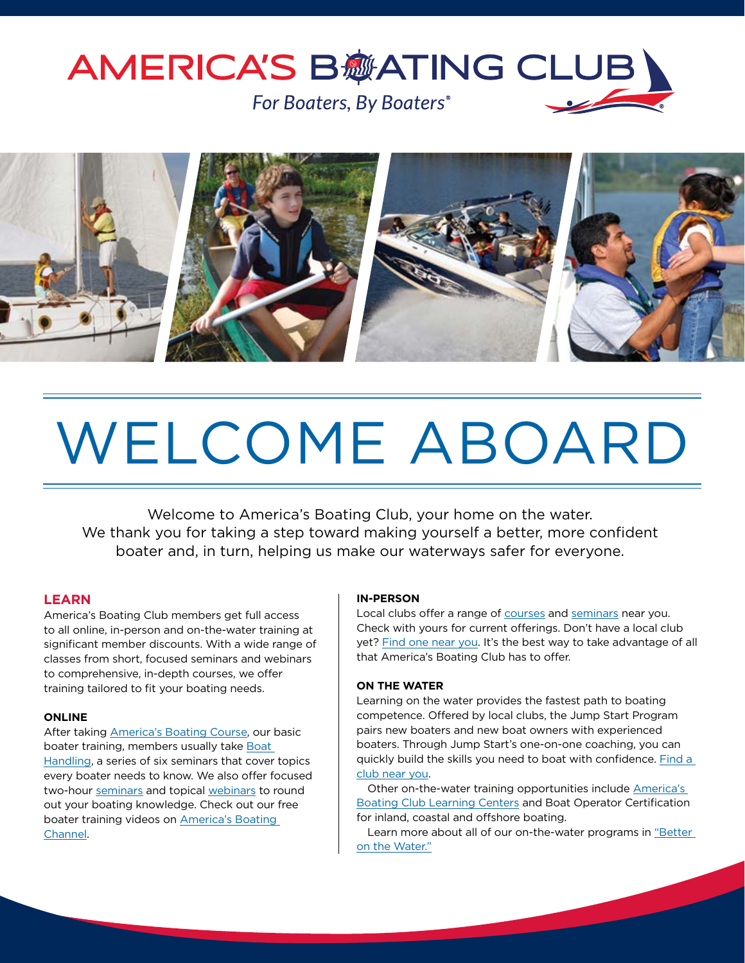# **AMERICA'S B痧ATING CLUB** For Boaters, By Boaters®



# WELCOME ABOARD

Welcome to America's Boating Club, your home on the water. We thank you for taking a step toward making yourself a better, more confident boater and, in turn, helping us make our waterways safer for everyone.

### **LEARN**

America's Boating Club members get full access to all online, in-person and on-the-water training at significant member discounts. With a wide range of classes from short, focused seminars and webinars to comprehensive, in-depth courses, we offer training tailored to fit your boating needs.

#### **ONLINE**

After taking [America's Boating Course](https://americasboatingcourse.com/), our basic boater training, members usually take [Boat](https://uspsonline.lmscheckout.com/Course/view/1814830)  [Handling,](https://uspsonline.lmscheckout.com/Course/view/1814830) a series of six seminars that cover topics every boater needs to know. We also offer focused two-hour [seminars](https://americasboatingclub.org/learn/online-boating-education) and topical [webinars](https://uspsonline.lmscheckout.com/Course/index?tags=Webinars%7CWebinar) to round out your boating knowledge. Check out our free boater training videos on [America's Boating](https://www.youtube.com/americasboatingchannel)  [Channel](https://www.youtube.com/americasboatingchannel).

#### **IN-PERSON**

Local clubs offer a range of [courses](https://americasboatingclub.org/learn/education-matters/all/all-courses) and [seminars](https://americasboatingclub.org/learn/education-matters/all/all-seminars) near you. Check with yours for current offerings. Don't have a local club yet? [Find one near you.](https://americasboatingclub.org/find-your-local-squadron) It's the best way to take advantage of all that America's Boating Club has to offer.

#### **ON THE WATER**

Learning on the water provides the fastest path to boating competence. Offered by local clubs, the Jump Start Program pairs new boaters and new boat owners with experienced boaters. Through Jump Start's one-on-one coaching, you can quickly build the skills you need to boat with confidence. [Find a](https://americasboatingclub.org/find-your-local-squadron)  [club near you](https://americasboatingclub.org/find-your-local-squadron).

Other on-the-water training opportunities include [America's](https://abclc.org/)  [Boating Club Learning Centers](https://abclc.org/) and Boat Operator Certification for inland, coastal and offshore boating.

Learn more about all of our on-the-water programs in ["Better](http://theensign.org/better-on-the-water/)  [on the Water."](http://theensign.org/better-on-the-water/)